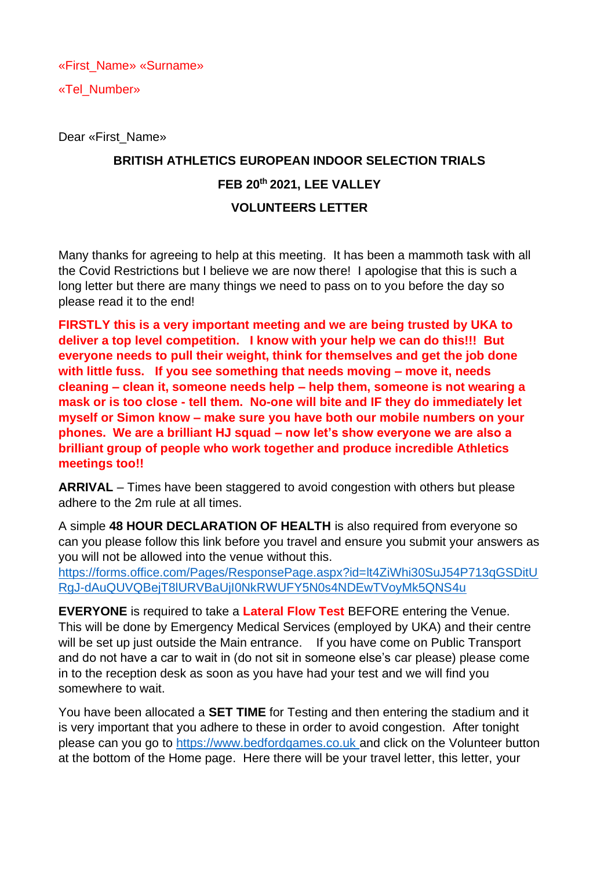«First\_Name» «Surname»

«Tel\_Number»

Dear «First\_Name»

## **BRITISH ATHLETICS EUROPEAN INDOOR SELECTION TRIALS FEB 20th 2021, LEE VALLEY VOLUNTEERS LETTER**

Many thanks for agreeing to help at this meeting. It has been a mammoth task with all the Covid Restrictions but I believe we are now there! I apologise that this is such a long letter but there are many things we need to pass on to you before the day so please read it to the end!

**FIRSTLY this is a very important meeting and we are being trusted by UKA to deliver a top level competition. I know with your help we can do this!!! But everyone needs to pull their weight, think for themselves and get the job done with little fuss. If you see something that needs moving – move it, needs cleaning – clean it, someone needs help – help them, someone is not wearing a mask or is too close - tell them. No-one will bite and IF they do immediately let myself or Simon know – make sure you have both our mobile numbers on your phones. We are a brilliant HJ squad – now let's show everyone we are also a brilliant group of people who work together and produce incredible Athletics meetings too!!**

**ARRIVAL** – Times have been staggered to avoid congestion with others but please adhere to the 2m rule at all times.

A simple **48 HOUR DECLARATION OF HEALTH** is also required from everyone so can you please follow this link before you travel and ensure you submit your answers as you will not be allowed into the venue without this.

[https://forms.office.com/Pages/ResponsePage.aspx?id=lt4ZiWhi30SuJ54P713qGSDitU](https://forms.office.com/Pages/ResponsePage.aspx?id=lt4ZiWhi30SuJ54P713qGSDitURgJ-dAuQUVQBejT8lURVBaUjI0NkRWUFY5N0s4NDEwTVoyMk5QNS4u) [RgJ-dAuQUVQBejT8lURVBaUjI0NkRWUFY5N0s4NDEwTVoyMk5QNS4u](https://forms.office.com/Pages/ResponsePage.aspx?id=lt4ZiWhi30SuJ54P713qGSDitURgJ-dAuQUVQBejT8lURVBaUjI0NkRWUFY5N0s4NDEwTVoyMk5QNS4u)

**EVERYONE** is required to take a **Lateral Flow Test** BEFORE entering the Venue. This will be done by Emergency Medical Services (employed by UKA) and their centre will be set up just outside the Main entrance. If you have come on Public Transport and do not have a car to wait in (do not sit in someone else's car please) please come in to the reception desk as soon as you have had your test and we will find you somewhere to wait.

You have been allocated a **SET TIME** for Testing and then entering the stadium and it is very important that you adhere to these in order to avoid congestion. After tonight please can you go to [https://www.bedfordgames.co.uk](https://www.bedfordgames.co.uk/) and click on the Volunteer button at the bottom of the Home page. Here there will be your travel letter, this letter, your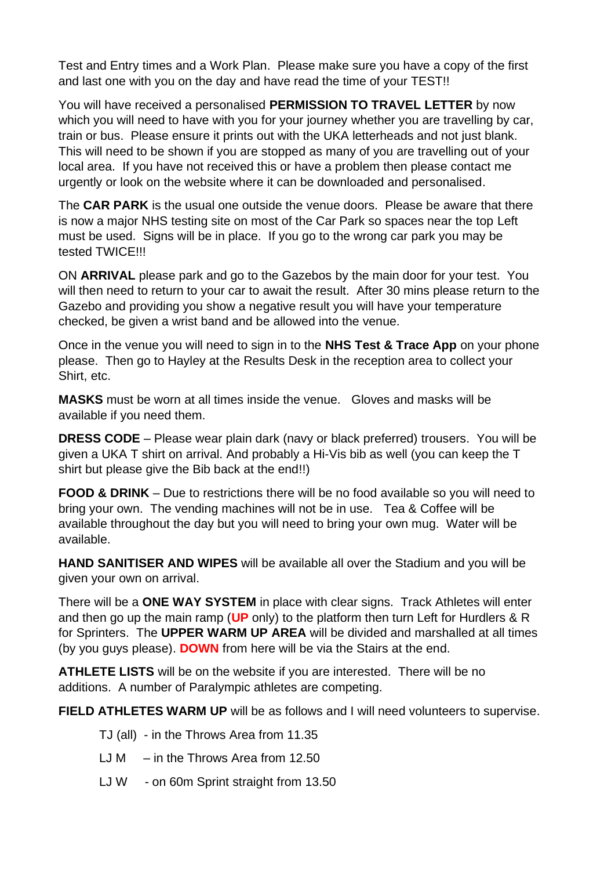Test and Entry times and a Work Plan. Please make sure you have a copy of the first and last one with you on the day and have read the time of your TEST!!

You will have received a personalised **PERMISSION TO TRAVEL LETTER** by now which you will need to have with you for your journey whether you are travelling by car, train or bus. Please ensure it prints out with the UKA letterheads and not just blank. This will need to be shown if you are stopped as many of you are travelling out of your local area. If you have not received this or have a problem then please contact me urgently or look on the website where it can be downloaded and personalised.

The **CAR PARK** is the usual one outside the venue doors. Please be aware that there is now a major NHS testing site on most of the Car Park so spaces near the top Left must be used. Signs will be in place. If you go to the wrong car park you may be tested TWICE!!!

ON **ARRIVAL** please park and go to the Gazebos by the main door for your test. You will then need to return to your car to await the result. After 30 mins please return to the Gazebo and providing you show a negative result you will have your temperature checked, be given a wrist band and be allowed into the venue.

Once in the venue you will need to sign in to the **NHS Test & Trace App** on your phone please. Then go to Hayley at the Results Desk in the reception area to collect your Shirt, etc.

**MASKS** must be worn at all times inside the venue. Gloves and masks will be available if you need them.

**DRESS CODE** – Please wear plain dark (navy or black preferred) trousers. You will be given a UKA T shirt on arrival. And probably a Hi-Vis bib as well (you can keep the T shirt but please give the Bib back at the end!!)

**FOOD & DRINK** – Due to restrictions there will be no food available so you will need to bring your own. The vending machines will not be in use. Tea & Coffee will be available throughout the day but you will need to bring your own mug. Water will be available.

**HAND SANITISER AND WIPES** will be available all over the Stadium and you will be given your own on arrival.

There will be a **ONE WAY SYSTEM** in place with clear signs. Track Athletes will enter and then go up the main ramp (**UP** only) to the platform then turn Left for Hurdlers & R for Sprinters. The **UPPER WARM UP AREA** will be divided and marshalled at all times (by you guys please). **DOWN** from here will be via the Stairs at the end.

**ATHLETE LISTS** will be on the website if you are interested. There will be no additions. A number of Paralympic athletes are competing.

**FIELD ATHLETES WARM UP** will be as follows and I will need volunteers to supervise.

- TJ (all) in the Throws Area from 11.35
- LJ M  $-$  in the Throws Area from 12.50
- LJ W on 60m Sprint straight from 13.50